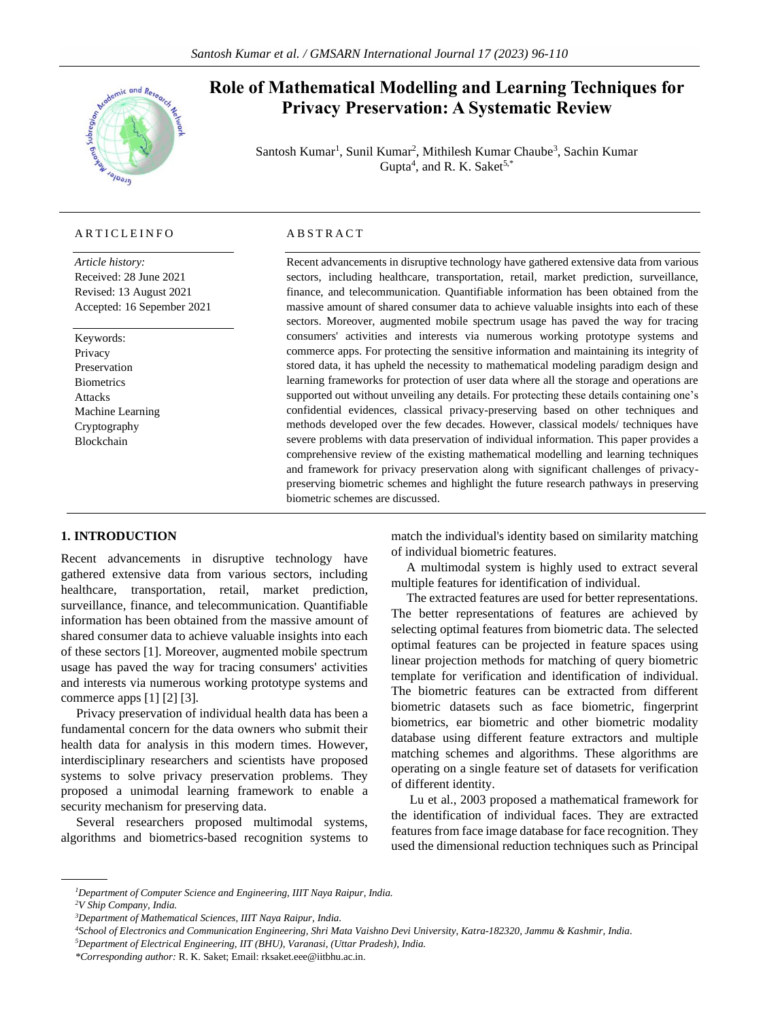

# **Role of Mathematical Modelling and Learning Techniques for Privacy Preservation: A Systematic Review**

Santosh Kumar<sup>1</sup>, Sunil Kumar<sup>2</sup>, Mithilesh Kumar Chaube<sup>3</sup>, Sachin Kumar Gupta<sup>4</sup>, and R. K. Saket<sup>5,\*</sup>

# A R T I C L E I N F O

*Article history:* Received: 28 June 2021 Revised: 13 August 2021 Accepted: 16 Sepember 2021

Keywords: Privacy Preservation **Biometrics** Attacks Machine Learning Cryptography Blockchain

#### A B S T R A C T

Recent advancements in disruptive technology have gathered extensive data from various sectors, including healthcare, transportation, retail, market prediction, surveillance, finance, and telecommunication. Quantifiable information has been obtained from the massive amount of shared consumer data to achieve valuable insights into each of these sectors. Moreover, augmented mobile spectrum usage has paved the way for tracing consumers' activities and interests via numerous working prototype systems and commerce apps. For protecting the sensitive information and maintaining its integrity of stored data, it has upheld the necessity to mathematical modeling paradigm design and learning frameworks for protection of user data where all the storage and operations are supported out without unveiling any details. For protecting these details containing one's confidential evidences, classical privacy-preserving based on other techniques and methods developed over the few decades. However, classical models/ techniques have severe problems with data preservation of individual information. This paper provides a comprehensive review of the existing mathematical modelling and learning techniques and framework for privacy preservation along with significant challenges of privacypreserving biometric schemes and highlight the future research pathways in preserving biometric schemes are discussed.

# **1. INTRODUCTION**

Recent advancements in disruptive technology have gathered extensive data from various sectors, including healthcare, transportation, retail, market prediction, surveillance, finance, and telecommunication. Quantifiable information has been obtained from the massive amount of shared consumer data to achieve valuable insights into each of these sectors [1]. Moreover, augmented mobile spectrum usage has paved the way for tracing consumers' activities and interests via numerous working prototype systems and commerce apps [1] [2] [3].

Privacy preservation of individual health data has been a fundamental concern for the data owners who submit their health data for analysis in this modern times. However, interdisciplinary researchers and scientists have proposed systems to solve privacy preservation problems. They proposed a unimodal learning framework to enable a security mechanism for preserving data.

Several researchers proposed multimodal systems, algorithms and biometrics-based recognition systems to match the individual's identity based on similarity matching of individual biometric features.

A multimodal system is highly used to extract several multiple features for identification of individual.

The extracted features are used for better representations. The better representations of features are achieved by selecting optimal features from biometric data. The selected optimal features can be projected in feature spaces using linear projection methods for matching of query biometric template for verification and identification of individual. The biometric features can be extracted from different biometric datasets such as face biometric, fingerprint biometrics, ear biometric and other biometric modality database using different feature extractors and multiple matching schemes and algorithms. These algorithms are operating on a single feature set of datasets for verification of different identity.

Lu et al., 2003 proposed a mathematical framework for the identification of individual faces. They are extracted features from face image database for face recognition. They used the dimensional reduction techniques such as Principal

*<sup>1</sup>Department of Computer Science and Engineering, IIIT Naya Raipur, India.*

*<sup>2</sup>V Ship Company, India.*

*<sup>3</sup>Department of Mathematical Sciences, IIIT Naya Raipur, India.*

*<sup>4</sup>School of Electronics and Communication Engineering, Shri Mata Vaishno Devi University, Katra-182320, Jammu & Kashmir, India.*

*<sup>5</sup>Department of Electrical Engineering, IIT (BHU), Varanasi, (Uttar Pradesh), India.*

*<sup>\*</sup>Corresponding author:* R. K. Saket; Email[: rksaket.eee@iitbhu.ac.in.](mailto:rksaket.eee@iitbhu.ac.in)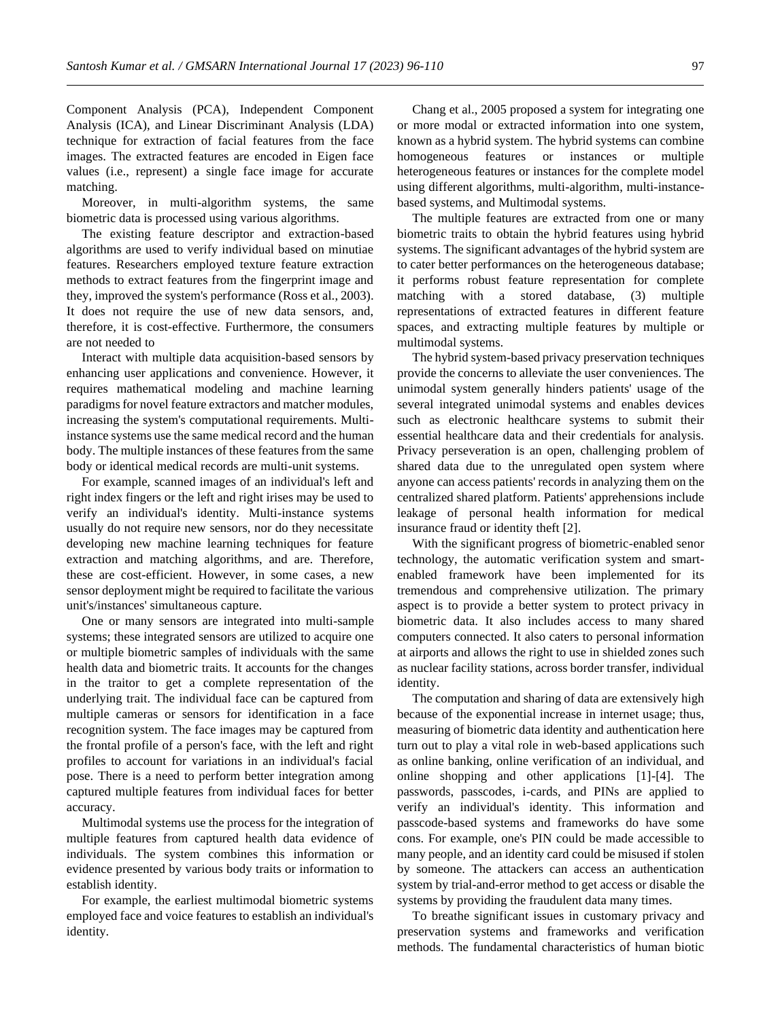Component Analysis (PCA), Independent Component Analysis (ICA), and Linear Discriminant Analysis (LDA) technique for extraction of facial features from the face images. The extracted features are encoded in Eigen face values (i.e., represent) a single face image for accurate matching.

Moreover, in multi-algorithm systems, the same biometric data is processed using various algorithms.

The existing feature descriptor and extraction-based algorithms are used to verify individual based on minutiae features. Researchers employed texture feature extraction methods to extract features from the fingerprint image and they, improved the system's performance (Ross et al., 2003). It does not require the use of new data sensors, and, therefore, it is cost-effective. Furthermore, the consumers are not needed to

Interact with multiple data acquisition-based sensors by enhancing user applications and convenience. However, it requires mathematical modeling and machine learning paradigms for novel feature extractors and matcher modules, increasing the system's computational requirements. Multiinstance systems use the same medical record and the human body. The multiple instances of these features from the same body or identical medical records are multi-unit systems.

For example, scanned images of an individual's left and right index fingers or the left and right irises may be used to verify an individual's identity. Multi-instance systems usually do not require new sensors, nor do they necessitate developing new machine learning techniques for feature extraction and matching algorithms, and are. Therefore, these are cost-efficient. However, in some cases, a new sensor deployment might be required to facilitate the various unit's/instances' simultaneous capture.

One or many sensors are integrated into multi-sample systems; these integrated sensors are utilized to acquire one or multiple biometric samples of individuals with the same health data and biometric traits. It accounts for the changes in the traitor to get a complete representation of the underlying trait. The individual face can be captured from multiple cameras or sensors for identification in a face recognition system. The face images may be captured from the frontal profile of a person's face, with the left and right profiles to account for variations in an individual's facial pose. There is a need to perform better integration among captured multiple features from individual faces for better accuracy.

Multimodal systems use the process for the integration of multiple features from captured health data evidence of individuals. The system combines this information or evidence presented by various body traits or information to establish identity.

For example, the earliest multimodal biometric systems employed face and voice features to establish an individual's identity.

Chang et al., 2005 proposed a system for integrating one or more modal or extracted information into one system, known as a hybrid system. The hybrid systems can combine homogeneous features or instances or multiple heterogeneous features or instances for the complete model using different algorithms, multi-algorithm, multi-instancebased systems, and Multimodal systems.

The multiple features are extracted from one or many biometric traits to obtain the hybrid features using hybrid systems. The significant advantages of the hybrid system are to cater better performances on the heterogeneous database; it performs robust feature representation for complete matching with a stored database, (3) multiple representations of extracted features in different feature spaces, and extracting multiple features by multiple or multimodal systems.

The hybrid system-based privacy preservation techniques provide the concerns to alleviate the user conveniences. The unimodal system generally hinders patients' usage of the several integrated unimodal systems and enables devices such as electronic healthcare systems to submit their essential healthcare data and their credentials for analysis. Privacy perseveration is an open, challenging problem of shared data due to the unregulated open system where anyone can access patients' records in analyzing them on the centralized shared platform. Patients' apprehensions include leakage of personal health information for medical insurance fraud or identity theft [2].

With the significant progress of biometric-enabled senor technology, the automatic verification system and smartenabled framework have been implemented for its tremendous and comprehensive utilization. The primary aspect is to provide a better system to protect privacy in biometric data. It also includes access to many shared computers connected. It also caters to personal information at airports and allows the right to use in shielded zones such as nuclear facility stations, across border transfer, individual identity.

The computation and sharing of data are extensively high because of the exponential increase in internet usage; thus, measuring of biometric data identity and authentication here turn out to play a vital role in web-based applications such as online banking, online verification of an individual, and online shopping and other applications [1]-[4]. The passwords, passcodes, i-cards, and PINs are applied to verify an individual's identity. This information and passcode-based systems and frameworks do have some cons. For example, one's PIN could be made accessible to many people, and an identity card could be misused if stolen by someone. The attackers can access an authentication system by trial-and-error method to get access or disable the systems by providing the fraudulent data many times.

To breathe significant issues in customary privacy and preservation systems and frameworks and verification methods. The fundamental characteristics of human biotic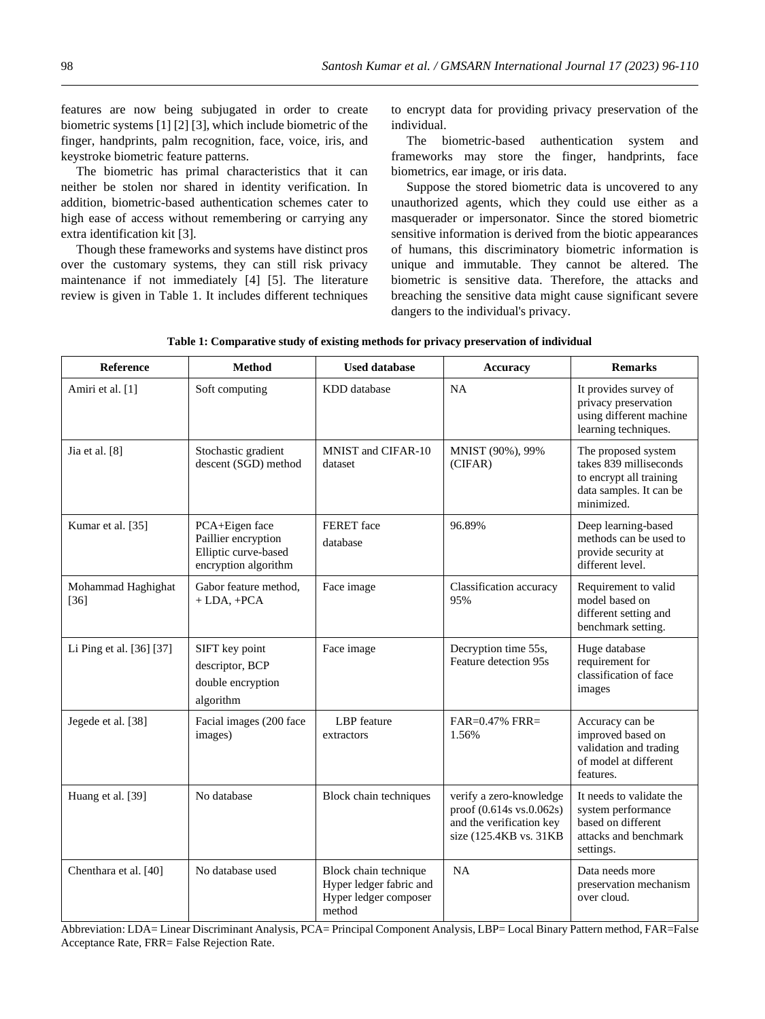features are now being subjugated in order to create biometric systems [1] [2] [3], which include biometric of the finger, handprints, palm recognition, face, voice, iris, and keystroke biometric feature patterns.

The biometric has primal characteristics that it can neither be stolen nor shared in identity verification. In addition, biometric-based authentication schemes cater to high ease of access without remembering or carrying any extra identification kit [3].

Though these frameworks and systems have distinct pros over the customary systems, they can still risk privacy maintenance if not immediately [4] [5]. The literature review is given in Table 1. It includes different techniques

to encrypt data for providing privacy preservation of the individual.

The biometric-based authentication system and frameworks may store the finger, handprints, face biometrics, ear image, or iris data.

Suppose the stored biometric data is uncovered to any unauthorized agents, which they could use either as a masquerader or impersonator. Since the stored biometric sensitive information is derived from the biotic appearances of humans, this discriminatory biometric information is unique and immutable. They cannot be altered. The biometric is sensitive data. Therefore, the attacks and breaching the sensitive data might cause significant severe dangers to the individual's privacy.

| Reference                    | Method                                                                                | <b>Used database</b>                                                                | <b>Accuracy</b>                                                                                           | <b>Remarks</b>                                                                                                    |
|------------------------------|---------------------------------------------------------------------------------------|-------------------------------------------------------------------------------------|-----------------------------------------------------------------------------------------------------------|-------------------------------------------------------------------------------------------------------------------|
| Amiri et al. [1]             | Soft computing                                                                        | KDD database                                                                        | NA                                                                                                        | It provides survey of<br>privacy preservation<br>using different machine<br>learning techniques.                  |
| Jia et al. [8]               | Stochastic gradient<br>descent (SGD) method                                           | MNIST and CIFAR-10<br>dataset                                                       | MNIST (90%), 99%<br>(CIFAR)                                                                               | The proposed system<br>takes 839 milliseconds<br>to encrypt all training<br>data samples. It can be<br>minimized. |
| Kumar et al. [35]            | PCA+Eigen face<br>Paillier encryption<br>Elliptic curve-based<br>encryption algorithm | FERET face<br>database                                                              | 96.89%                                                                                                    | Deep learning-based<br>methods can be used to<br>provide security at<br>different level.                          |
| Mohammad Haghighat<br>$[36]$ | Gabor feature method,<br>$+$ LDA, $+$ PCA                                             | Face image                                                                          | Classification accuracy<br>95%                                                                            | Requirement to valid<br>model based on<br>different setting and<br>benchmark setting.                             |
| Li Ping et al. [36] [37]     | SIFT key point<br>descriptor, BCP<br>double encryption<br>algorithm                   | Face image                                                                          | Decryption time 55s,<br>Feature detection 95s                                                             | Huge database<br>requirement for<br>classification of face<br>images                                              |
| Jegede et al. [38]           | Facial images (200 face<br>images)                                                    | <b>LBP</b> feature<br>extractors                                                    | $FAR=0.47\%$ FRR=<br>1.56%                                                                                | Accuracy can be<br>improved based on<br>validation and trading<br>of model at different<br>features.              |
| Huang et al. [39]            | No database                                                                           | Block chain techniques                                                              | verify a zero-knowledge<br>proof (0.614s vs.0.062s)<br>and the verification key<br>size (125.4KB vs. 31KB | It needs to validate the<br>system performance<br>based on different<br>attacks and benchmark<br>settings.        |
| Chenthara et al. [40]        | No database used                                                                      | Block chain technique<br>Hyper ledger fabric and<br>Hyper ledger composer<br>method | NA                                                                                                        | Data needs more<br>preservation mechanism<br>over cloud.                                                          |

**Table 1: Comparative study of existing methods for privacy preservation of individual**

Abbreviation: LDA= Linear Discriminant Analysis, PCA= Principal Component Analysis, LBP= Local Binary Pattern method, FAR=False Acceptance Rate, FRR= False Rejection Rate.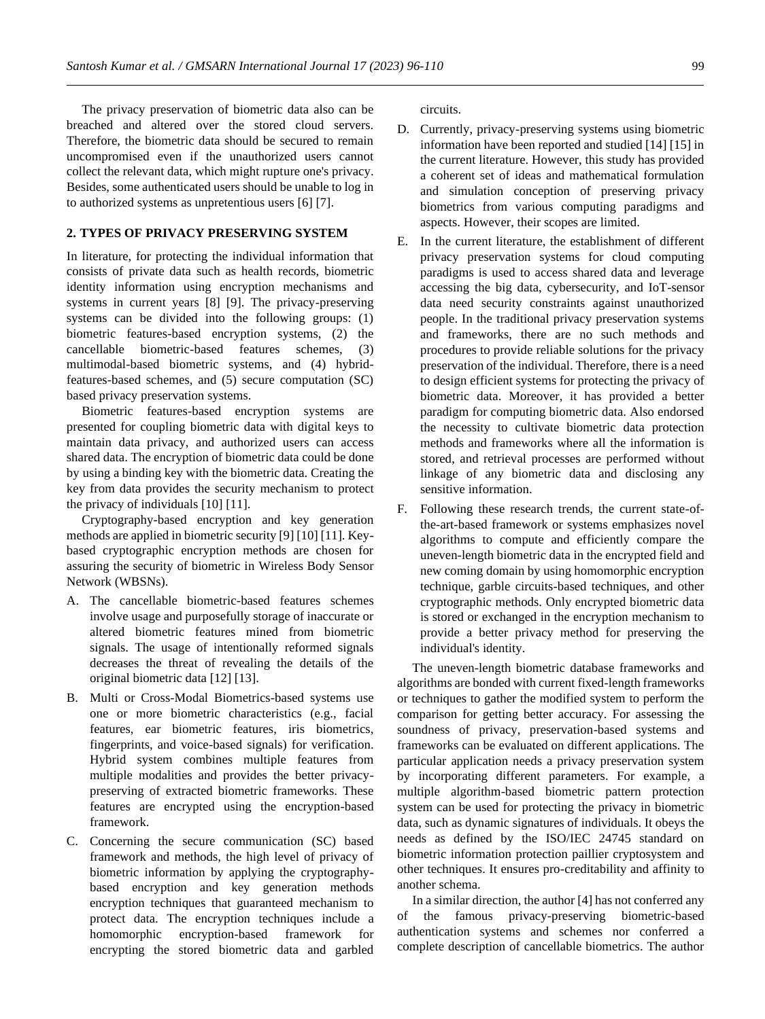The privacy preservation of biometric data also can be breached and altered over the stored cloud servers. Therefore, the biometric data should be secured to remain uncompromised even if the unauthorized users cannot collect the relevant data, which might rupture one's privacy. Besides, some authenticated users should be unable to log in to authorized systems as unpretentious users [6] [7].

# **2. TYPES OF PRIVACY PRESERVING SYSTEM**

In literature, for protecting the individual information that consists of private data such as health records, biometric identity information using encryption mechanisms and systems in current years [8] [9]. The privacy-preserving systems can be divided into the following groups: (1) biometric features-based encryption systems, (2) the cancellable biometric-based features schemes, (3) multimodal-based biometric systems, and (4) hybridfeatures-based schemes, and (5) secure computation (SC) based privacy preservation systems.

Biometric features-based encryption systems are presented for coupling biometric data with digital keys to maintain data privacy, and authorized users can access shared data. The encryption of biometric data could be done by using a binding key with the biometric data. Creating the key from data provides the security mechanism to protect the privacy of individuals [10] [11].

Cryptography-based encryption and key generation methods are applied in biometric security [9] [10] [11]. Keybased cryptographic encryption methods are chosen for assuring the security of biometric in Wireless Body Sensor Network (WBSNs).

- A. The cancellable biometric-based features schemes involve usage and purposefully storage of inaccurate or altered biometric features mined from biometric signals. The usage of intentionally reformed signals decreases the threat of revealing the details of the original biometric data [12] [13].
- B. Multi or Cross-Modal Biometrics-based systems use one or more biometric characteristics (e.g., facial features, ear biometric features, iris biometrics, fingerprints, and voice-based signals) for verification. Hybrid system combines multiple features from multiple modalities and provides the better privacypreserving of extracted biometric frameworks. These features are encrypted using the encryption-based framework.
- C. Concerning the secure communication (SC) based framework and methods, the high level of privacy of biometric information by applying the cryptographybased encryption and key generation methods encryption techniques that guaranteed mechanism to protect data. The encryption techniques include a homomorphic encryption-based framework for encrypting the stored biometric data and garbled

circuits.

- D. Currently, privacy-preserving systems using biometric information have been reported and studied [14] [15] in the current literature. However, this study has provided a coherent set of ideas and mathematical formulation and simulation conception of preserving privacy biometrics from various computing paradigms and aspects. However, their scopes are limited.
- E. In the current literature, the establishment of different privacy preservation systems for cloud computing paradigms is used to access shared data and leverage accessing the big data, cybersecurity, and IoT-sensor data need security constraints against unauthorized people. In the traditional privacy preservation systems and frameworks, there are no such methods and procedures to provide reliable solutions for the privacy preservation of the individual. Therefore, there is a need to design efficient systems for protecting the privacy of biometric data. Moreover, it has provided a better paradigm for computing biometric data. Also endorsed the necessity to cultivate biometric data protection methods and frameworks where all the information is stored, and retrieval processes are performed without linkage of any biometric data and disclosing any sensitive information.
- F. Following these research trends, the current state-ofthe-art-based framework or systems emphasizes novel algorithms to compute and efficiently compare the uneven-length biometric data in the encrypted field and new coming domain by using homomorphic encryption technique, garble circuits-based techniques, and other cryptographic methods. Only encrypted biometric data is stored or exchanged in the encryption mechanism to provide a better privacy method for preserving the individual's identity.

The uneven-length biometric database frameworks and algorithms are bonded with current fixed-length frameworks or techniques to gather the modified system to perform the comparison for getting better accuracy. For assessing the soundness of privacy, preservation-based systems and frameworks can be evaluated on different applications. The particular application needs a privacy preservation system by incorporating different parameters. For example, a multiple algorithm-based biometric pattern protection system can be used for protecting the privacy in biometric data, such as dynamic signatures of individuals. It obeys the needs as defined by the ISO/IEC 24745 standard on biometric information protection paillier cryptosystem and other techniques. It ensures pro-creditability and affinity to another schema.

In a similar direction, the author [4] has not conferred any of the famous privacy-preserving biometric-based authentication systems and schemes nor conferred a complete description of cancellable biometrics. The author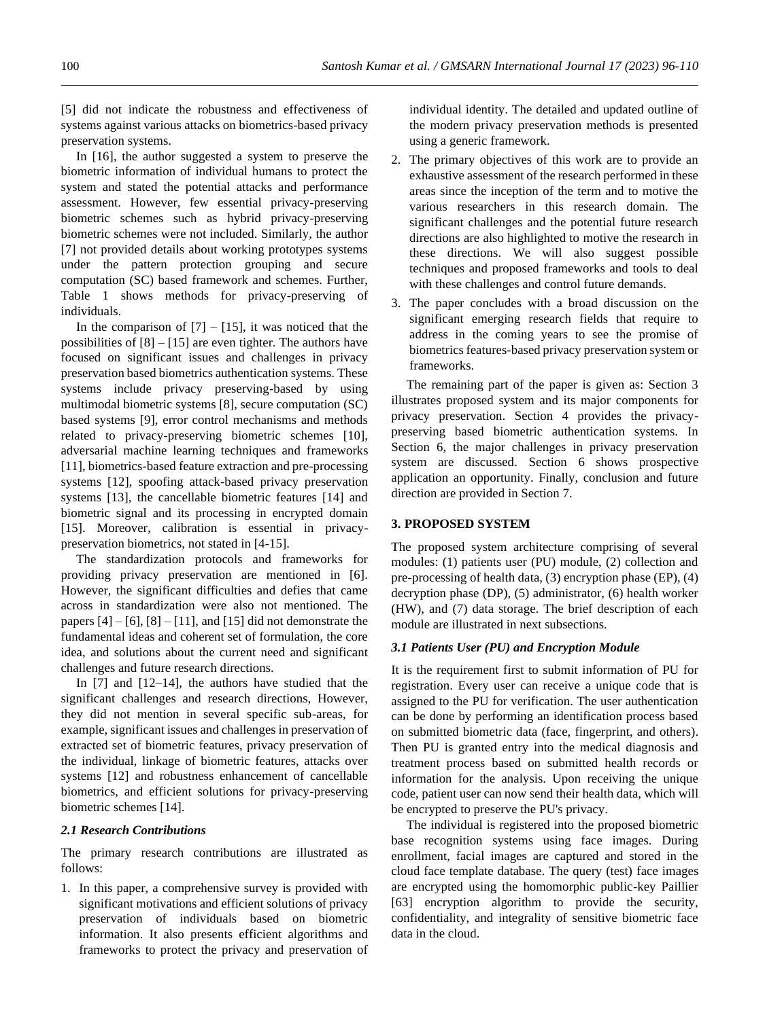[5] did not indicate the robustness and effectiveness of systems against various attacks on biometrics-based privacy preservation systems.

In [16], the author suggested a system to preserve the biometric information of individual humans to protect the system and stated the potential attacks and performance assessment. However, few essential privacy-preserving biometric schemes such as hybrid privacy-preserving biometric schemes were not included. Similarly, the author [7] not provided details about working prototypes systems under the pattern protection grouping and secure computation (SC) based framework and schemes. Further, Table 1 shows methods for privacy-preserving of individuals.

In the comparison of  $[7] - [15]$ , it was noticed that the possibilities of  $[8] - [15]$  are even tighter. The authors have focused on significant issues and challenges in privacy preservation based biometrics authentication systems. These systems include privacy preserving-based by using multimodal biometric systems [8], secure computation (SC) based systems [9], error control mechanisms and methods related to privacy-preserving biometric schemes [10], adversarial machine learning techniques and frameworks [11], biometrics-based feature extraction and pre-processing systems [12], spoofing attack-based privacy preservation systems [13], the cancellable biometric features [14] and biometric signal and its processing in encrypted domain [15]. Moreover, calibration is essential in privacypreservation biometrics, not stated in [4-15].

The standardization protocols and frameworks for providing privacy preservation are mentioned in [6]. However, the significant difficulties and defies that came across in standardization were also not mentioned. The papers  $[4] - [6]$ ,  $[8] - [11]$ , and  $[15]$  did not demonstrate the fundamental ideas and coherent set of formulation, the core idea, and solutions about the current need and significant challenges and future research directions.

In [7] and [12–14], the authors have studied that the significant challenges and research directions, However, they did not mention in several specific sub-areas, for example, significant issues and challenges in preservation of extracted set of biometric features, privacy preservation of the individual, linkage of biometric features, attacks over systems [12] and robustness enhancement of cancellable biometrics, and efficient solutions for privacy-preserving biometric schemes [14].

#### *2.1 Research Contributions*

The primary research contributions are illustrated as follows:

1. In this paper, a comprehensive survey is provided with significant motivations and efficient solutions of privacy preservation of individuals based on biometric information. It also presents efficient algorithms and frameworks to protect the privacy and preservation of

individual identity. The detailed and updated outline of the modern privacy preservation methods is presented using a generic framework.

- 2. The primary objectives of this work are to provide an exhaustive assessment of the research performed in these areas since the inception of the term and to motive the various researchers in this research domain. The significant challenges and the potential future research directions are also highlighted to motive the research in these directions. We will also suggest possible techniques and proposed frameworks and tools to deal with these challenges and control future demands.
- 3. The paper concludes with a broad discussion on the significant emerging research fields that require to address in the coming years to see the promise of biometrics features-based privacy preservation system or frameworks.

The remaining part of the paper is given as: Section 3 illustrates proposed system and its major components for privacy preservation. Section 4 provides the privacypreserving based biometric authentication systems. In Section 6, the major challenges in privacy preservation system are discussed. Section 6 shows prospective application an opportunity. Finally, conclusion and future direction are provided in Section 7.

#### **3. PROPOSED SYSTEM**

The proposed system architecture comprising of several modules: (1) patients user (PU) module, (2) collection and pre-processing of health data, (3) encryption phase (EP), (4) decryption phase (DP), (5) administrator, (6) health worker (HW), and (7) data storage. The brief description of each module are illustrated in next subsections.

#### *3.1 Patients User (PU) and Encryption Module*

It is the requirement first to submit information of PU for registration. Every user can receive a unique code that is assigned to the PU for verification. The user authentication can be done by performing an identification process based on submitted biometric data (face, fingerprint, and others). Then PU is granted entry into the medical diagnosis and treatment process based on submitted health records or information for the analysis. Upon receiving the unique code, patient user can now send their health data, which will be encrypted to preserve the PU's privacy.

The individual is registered into the proposed biometric base recognition systems using face images. During enrollment, facial images are captured and stored in the cloud face template database. The query (test) face images are encrypted using the homomorphic public-key Paillier [63] encryption algorithm to provide the security, confidentiality, and integrality of sensitive biometric face data in the cloud.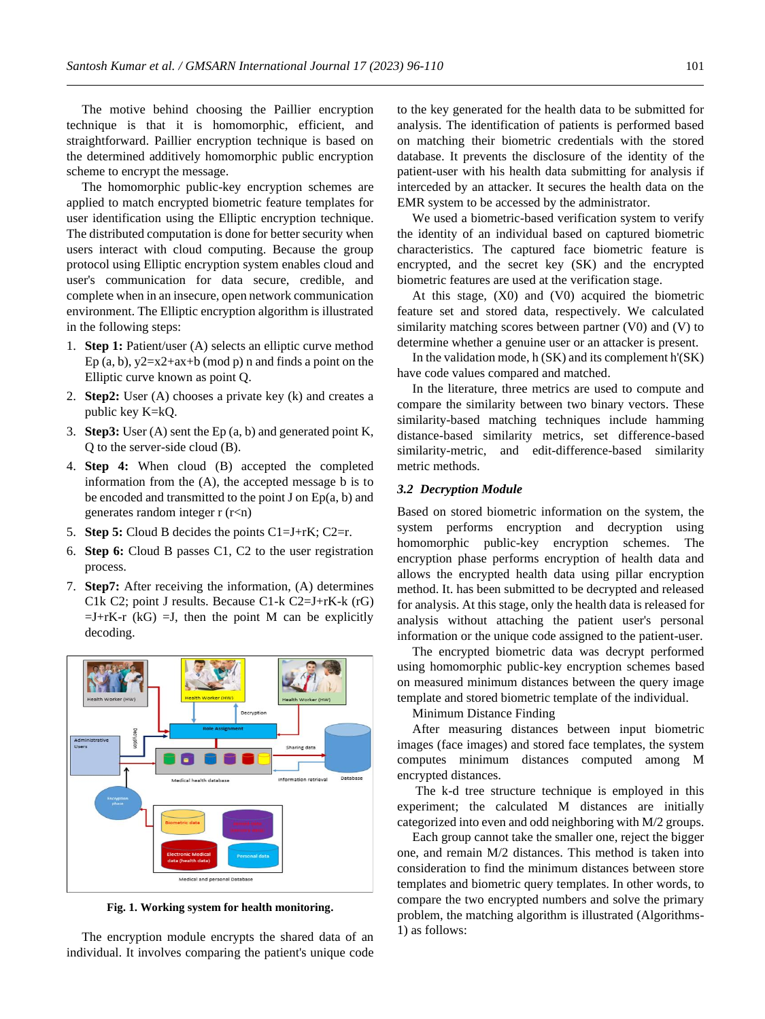The motive behind choosing the Paillier encryption technique is that it is homomorphic, efficient, and straightforward. Paillier encryption technique is based on the determined additively homomorphic public encryption scheme to encrypt the message.

The homomorphic public-key encryption schemes are applied to match encrypted biometric feature templates for user identification using the Elliptic encryption technique. The distributed computation is done for better security when users interact with cloud computing. Because the group protocol using Elliptic encryption system enables cloud and user's communication for data secure, credible, and complete when in an insecure, open network communication environment. The Elliptic encryption algorithm is illustrated in the following steps:

- 1. **Step 1:** Patient/user (A) selects an elliptic curve method Ep (a, b),  $y2=x2+ax+b \pmod{p}$  n and finds a point on the Elliptic curve known as point Q.
- 2. **Step2:** User (A) chooses a private key (k) and creates a public key K=kQ.
- 3. **Step3:** User (A) sent the Ep (a, b) and generated point K, Q to the server-side cloud (B).
- 4. **Step 4:** When cloud (B) accepted the completed information from the (A), the accepted message b is to be encoded and transmitted to the point  $J$  on  $Ep(a, b)$  and generates random integer r (r<n)
- 5. **Step 5:** Cloud B decides the points C1=J+rK; C2=r.
- 6. **Step 6:** Cloud B passes C1, C2 to the user registration process.
- 7. **Step7:** After receiving the information, (A) determines C1k C2; point J results. Because C1-k C2=J+rK-k (rG)  $=J+rK-r$  (kG)  $=J$ , then the point M can be explicitly decoding.



**Fig. 1. Working system for health monitoring.**

The encryption module encrypts the shared data of an individual. It involves comparing the patient's unique code to the key generated for the health data to be submitted for analysis. The identification of patients is performed based on matching their biometric credentials with the stored database. It prevents the disclosure of the identity of the patient-user with his health data submitting for analysis if interceded by an attacker. It secures the health data on the EMR system to be accessed by the administrator.

We used a biometric-based verification system to verify the identity of an individual based on captured biometric characteristics. The captured face biometric feature is encrypted, and the secret key (SK) and the encrypted biometric features are used at the verification stage.

At this stage, (X0) and (V0) acquired the biometric feature set and stored data, respectively. We calculated similarity matching scores between partner (V0) and (V) to determine whether a genuine user or an attacker is present.

In the validation mode, h (SK) and its complement h'(SK) have code values compared and matched.

In the literature, three metrics are used to compute and compare the similarity between two binary vectors. These similarity-based matching techniques include hamming distance-based similarity metrics, set difference-based similarity-metric, and edit-difference-based similarity metric methods.

#### *3.2 Decryption Module*

Based on stored biometric information on the system, the system performs encryption and decryption using homomorphic public-key encryption schemes. The encryption phase performs encryption of health data and allows the encrypted health data using pillar encryption method. It. has been submitted to be decrypted and released for analysis. At this stage, only the health data is released for analysis without attaching the patient user's personal information or the unique code assigned to the patient-user.

The encrypted biometric data was decrypt performed using homomorphic public-key encryption schemes based on measured minimum distances between the query image template and stored biometric template of the individual.

Minimum Distance Finding

After measuring distances between input biometric images (face images) and stored face templates, the system computes minimum distances computed among M encrypted distances.

The k-d tree structure technique is employed in this experiment; the calculated M distances are initially categorized into even and odd neighboring with M/2 groups.

Each group cannot take the smaller one, reject the bigger one, and remain M/2 distances. This method is taken into consideration to find the minimum distances between store templates and biometric query templates. In other words, to compare the two encrypted numbers and solve the primary problem, the matching algorithm is illustrated (Algorithms-1) as follows: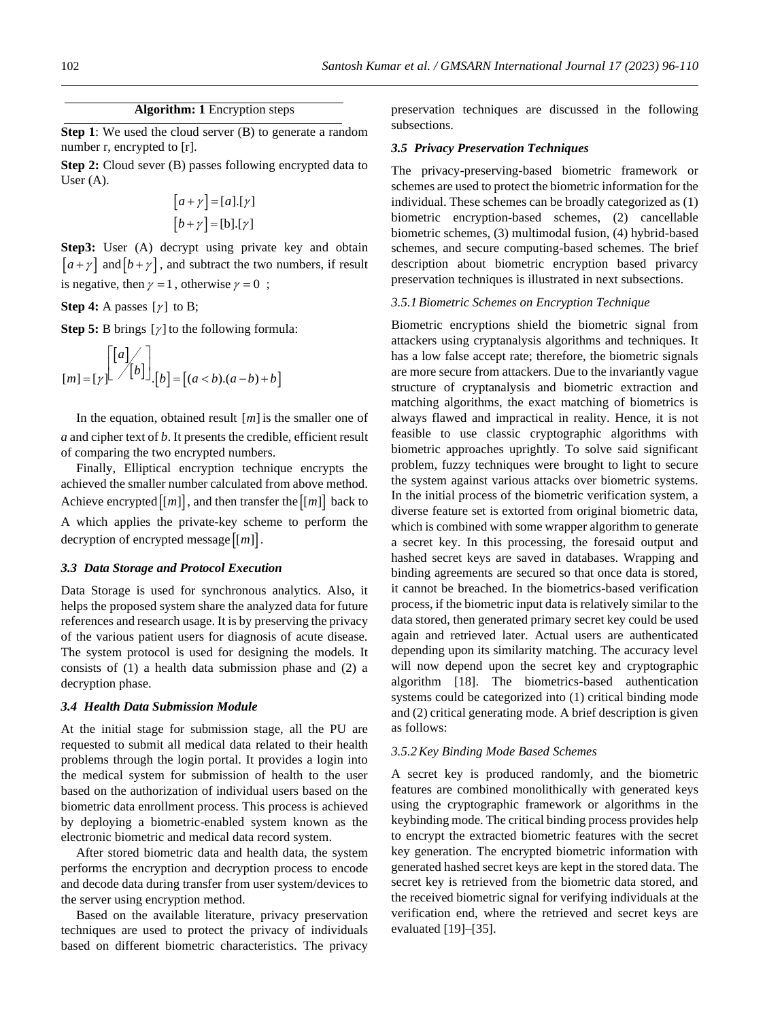# **Algorithm: 1** Encryption steps

**Step 1**: We used the cloud server (B) to generate a random number r, encrypted to [r].

**Step 2:** Cloud sever (B) passes following encrypted data to User (A).

$$
[a + \gamma] = [a].[\gamma]
$$

$$
[b + \gamma] = [b].[\gamma]
$$

**Step3:** User (A) decrypt using private key and obtain  $\left[a + \gamma\right]$  and  $\left[b + \gamma\right]$ , and subtract the two numbers, if result is negative, then  $\gamma = 1$ , otherwise  $\gamma = 0$ ;

**Step 4:** A passes  $[\gamma]$  to B;

**Step 5:** B brings  $[y]$  to the following formula:

$$
[m] = [\gamma] \begin{bmatrix} [a] \\ [b] \end{bmatrix} \begin{bmatrix} [b] \\ [c] \end{bmatrix} = [(a < b).(a-b)+b]
$$

In the equation, obtained result  $[m]$  is the smaller one of *a* and cipher text of *b*. It presents the credible, efficient result of comparing the two encrypted numbers.

Finally, Elliptical encryption technique encrypts the achieved the smaller number calculated from above method. Achieve encrypted  $\lfloor m \rfloor$ , and then transfer the  $\lfloor m \rfloor$  back to A which applies the private-key scheme to perform the decryption of encrypted message  $[[m]]$ .

#### *3.3 Data Storage and Protocol Execution*

Data Storage is used for synchronous analytics. Also, it helps the proposed system share the analyzed data for future references and research usage. It is by preserving the privacy of the various patient users for diagnosis of acute disease. The system protocol is used for designing the models. It consists of (1) a health data submission phase and (2) a decryption phase.

## *3.4 Health Data Submission Module*

At the initial stage for submission stage, all the PU are requested to submit all medical data related to their health problems through the login portal. It provides a login into the medical system for submission of health to the user based on the authorization of individual users based on the biometric data enrollment process. This process is achieved by deploying a biometric-enabled system known as the electronic biometric and medical data record system.

After stored biometric data and health data, the system performs the encryption and decryption process to encode and decode data during transfer from user system/devices to the server using encryption method.

Based on the available literature, privacy preservation techniques are used to protect the privacy of individuals based on different biometric characteristics. The privacy preservation techniques are discussed in the following subsections.

#### *3.5 Privacy Preservation Techniques*

The privacy-preserving-based biometric framework or schemes are used to protect the biometric information for the individual. These schemes can be broadly categorized as (1) biometric encryption-based schemes, (2) cancellable biometric schemes, (3) multimodal fusion, (4) hybrid-based schemes, and secure computing-based schemes. The brief description about biometric encryption based privarcy preservation techniques is illustrated in next subsections.

# *3.5.1Biometric Schemes on Encryption Technique*

Biometric encryptions shield the biometric signal from attackers using cryptanalysis algorithms and techniques. It has a low false accept rate; therefore, the biometric signals are more secure from attackers. Due to the invariantly vague structure of cryptanalysis and biometric extraction and matching algorithms, the exact matching of biometrics is always flawed and impractical in reality. Hence, it is not feasible to use classic cryptographic algorithms with biometric approaches uprightly. To solve said significant problem, fuzzy techniques were brought to light to secure the system against various attacks over biometric systems. In the initial process of the biometric verification system, a diverse feature set is extorted from original biometric data, which is combined with some wrapper algorithm to generate a secret key. In this processing, the foresaid output and hashed secret keys are saved in databases. Wrapping and binding agreements are secured so that once data is stored, it cannot be breached. In the biometrics-based verification process, if the biometric input data is relatively similar to the data stored, then generated primary secret key could be used again and retrieved later. Actual users are authenticated depending upon its similarity matching. The accuracy level will now depend upon the secret key and cryptographic algorithm [18]. The biometrics-based authentication systems could be categorized into (1) critical binding mode and (2) critical generating mode. A brief description is given as follows:

#### *3.5.2Key Binding Mode Based Schemes*

A secret key is produced randomly, and the biometric features are combined monolithically with generated keys using the cryptographic framework or algorithms in the keybinding mode. The critical binding process provides help to encrypt the extracted biometric features with the secret key generation. The encrypted biometric information with generated hashed secret keys are kept in the stored data. The secret key is retrieved from the biometric data stored, and the received biometric signal for verifying individuals at the verification end, where the retrieved and secret keys are evaluated [19]–[35].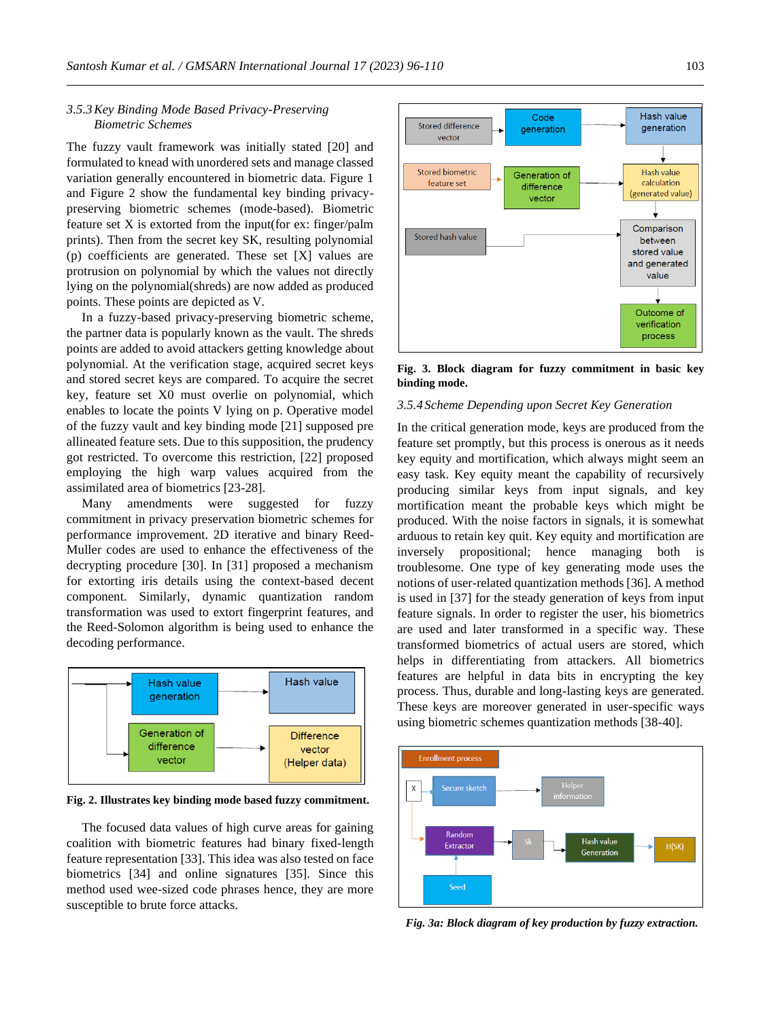## *3.5.3Key Binding Mode Based Privacy-Preserving Biometric Schemes*

The fuzzy vault framework was initially stated [20] and formulated to knead with unordered sets and manage classed variation generally encountered in biometric data. Figure 1 and Figure 2 show the fundamental key binding privacypreserving biometric schemes (mode-based). Biometric feature set X is extorted from the input(for ex: finger/palm prints). Then from the secret key SK, resulting polynomial (p) coefficients are generated. These set [X] values are protrusion on polynomial by which the values not directly lying on the polynomial(shreds) are now added as produced points. These points are depicted as V.

In a fuzzy-based privacy-preserving biometric scheme, the partner data is popularly known as the vault. The shreds points are added to avoid attackers getting knowledge about polynomial. At the verification stage, acquired secret keys and stored secret keys are compared. To acquire the secret key, feature set X0 must overlie on polynomial, which enables to locate the points V lying on p. Operative model of the fuzzy vault and key binding mode [21] supposed pre allineated feature sets. Due to this supposition, the prudency got restricted. To overcome this restriction, [22] proposed employing the high warp values acquired from the assimilated area of biometrics [23-28].

Many amendments were suggested for fuzzy commitment in privacy preservation biometric schemes for performance improvement. 2D iterative and binary Reed-Muller codes are used to enhance the effectiveness of the decrypting procedure [30]. In [31] proposed a mechanism for extorting iris details using the context-based decent component. Similarly, dynamic quantization random transformation was used to extort fingerprint features, and the Reed-Solomon algorithm is being used to enhance the decoding performance.



**Fig. 2. Illustrates key binding mode based fuzzy commitment.** 

The focused data values of high curve areas for gaining coalition with biometric features had binary fixed-length feature representation [33]. This idea was also tested on face biometrics [34] and online signatures [35]. Since this method used wee-sized code phrases hence, they are more susceptible to brute force attacks.



**Fig. 3. Block diagram for fuzzy commitment in basic key binding mode.**

#### *3.5.4 Scheme Depending upon Secret Key Generation*

In the critical generation mode, keys are produced from the feature set promptly, but this process is onerous as it needs key equity and mortification, which always might seem an easy task. Key equity meant the capability of recursively producing similar keys from input signals, and key mortification meant the probable keys which might be produced. With the noise factors in signals, it is somewhat arduous to retain key quit. Key equity and mortification are inversely propositional; hence managing both is troublesome. One type of key generating mode uses the notions of user-related quantization methods [36]. A method is used in [37] for the steady generation of keys from input feature signals. In order to register the user, his biometrics are used and later transformed in a specific way. These transformed biometrics of actual users are stored, which helps in differentiating from attackers. All biometrics features are helpful in data bits in encrypting the key process. Thus, durable and long-lasting keys are generated. These keys are moreover generated in user-specific ways using biometric schemes quantization methods [38-40].



*Fig. 3a: Block diagram of key production by fuzzy extraction.*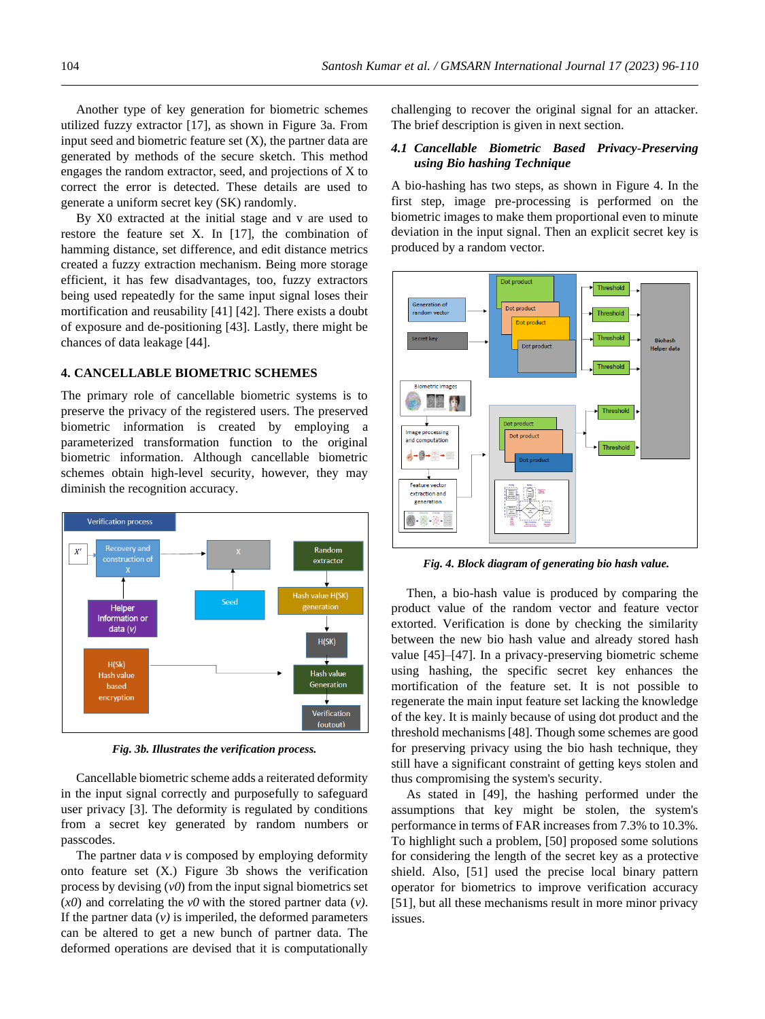Another type of key generation for biometric schemes utilized fuzzy extractor [17], as shown in Figure 3a. From input seed and biometric feature set  $(X)$ , the partner data are generated by methods of the secure sketch. This method engages the random extractor, seed, and projections of X to correct the error is detected. These details are used to generate a uniform secret key (SK) randomly.

By X0 extracted at the initial stage and v are used to restore the feature set X. In [17], the combination of hamming distance, set difference, and edit distance metrics created a fuzzy extraction mechanism. Being more storage efficient, it has few disadvantages, too, fuzzy extractors being used repeatedly for the same input signal loses their mortification and reusability [41] [42]. There exists a doubt of exposure and de-positioning [43]. Lastly, there might be chances of data leakage [44].

#### **4. CANCELLABLE BIOMETRIC SCHEMES**

The primary role of cancellable biometric systems is to preserve the privacy of the registered users. The preserved biometric information is created by employing a parameterized transformation function to the original biometric information. Although cancellable biometric schemes obtain high-level security, however, they may diminish the recognition accuracy.

![](_page_8_Figure_5.jpeg)

*Fig. 3b. Illustrates the verification process.*

Cancellable biometric scheme adds a reiterated deformity in the input signal correctly and purposefully to safeguard user privacy [3]. The deformity is regulated by conditions from a secret key generated by random numbers or passcodes.

The partner data *v* is composed by employing deformity onto feature set (X.) Figure 3b shows the verification process by devising (*v0*) from the input signal biometrics set (*x0*) and correlating the *v0* with the stored partner data (*v)*. If the partner data  $(v)$  is imperiled, the deformed parameters can be altered to get a new bunch of partner data. The deformed operations are devised that it is computationally

challenging to recover the original signal for an attacker. The brief description is given in next section.

#### *4.1 Cancellable Biometric Based Privacy-Preserving using Bio hashing Technique*

A bio-hashing has two steps, as shown in Figure 4. In the first step, image pre-processing is performed on the biometric images to make them proportional even to minute deviation in the input signal. Then an explicit secret key is produced by a random vector.

![](_page_8_Figure_12.jpeg)

*Fig. 4. Block diagram of generating bio hash value.*

Then, a bio-hash value is produced by comparing the product value of the random vector and feature vector extorted. Verification is done by checking the similarity between the new bio hash value and already stored hash value [45]–[47]. In a privacy-preserving biometric scheme using hashing, the specific secret key enhances the mortification of the feature set. It is not possible to regenerate the main input feature set lacking the knowledge of the key. It is mainly because of using dot product and the threshold mechanisms [48]. Though some schemes are good for preserving privacy using the bio hash technique, they still have a significant constraint of getting keys stolen and thus compromising the system's security.

As stated in [49], the hashing performed under the assumptions that key might be stolen, the system's performance in terms of FAR increases from 7.3% to 10.3%. To highlight such a problem, [50] proposed some solutions for considering the length of the secret key as a protective shield. Also, [51] used the precise local binary pattern operator for biometrics to improve verification accuracy [51], but all these mechanisms result in more minor privacy issues.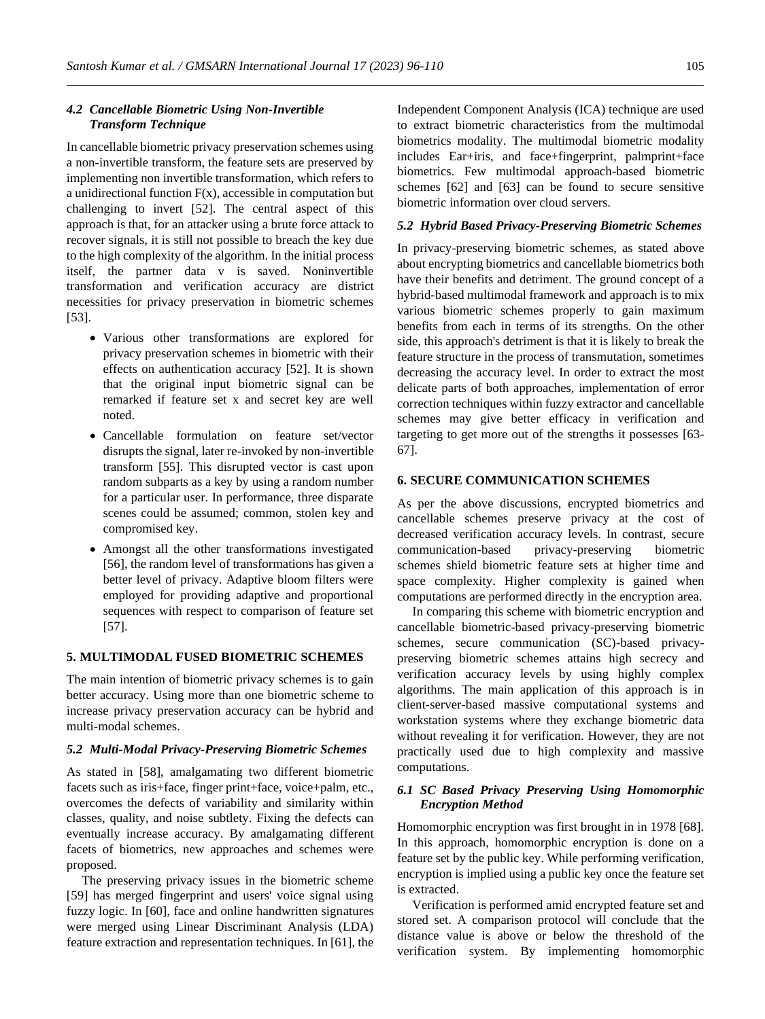# *4.2 Cancellable Biometric Using Non-Invertible Transform Technique*

In cancellable biometric privacy preservation schemes using a non-invertible transform, the feature sets are preserved by implementing non invertible transformation, which refers to a unidirectional function  $F(x)$ , accessible in computation but challenging to invert [52]. The central aspect of this approach is that, for an attacker using a brute force attack to recover signals, it is still not possible to breach the key due to the high complexity of the algorithm. In the initial process itself, the partner data v is saved. Noninvertible transformation and verification accuracy are district necessities for privacy preservation in biometric schemes [53].

- Various other transformations are explored for privacy preservation schemes in biometric with their effects on authentication accuracy [52]. It is shown that the original input biometric signal can be remarked if feature set x and secret key are well noted.
- Cancellable formulation on feature set/vector disrupts the signal, later re-invoked by non-invertible transform [55]. This disrupted vector is cast upon random subparts as a key by using a random number for a particular user. In performance, three disparate scenes could be assumed; common, stolen key and compromised key.
- Amongst all the other transformations investigated [56], the random level of transformations has given a better level of privacy. Adaptive bloom filters were employed for providing adaptive and proportional sequences with respect to comparison of feature set [57].

# **5. MULTIMODAL FUSED BIOMETRIC SCHEMES**

The main intention of biometric privacy schemes is to gain better accuracy. Using more than one biometric scheme to increase privacy preservation accuracy can be hybrid and multi-modal schemes.

## *5.2 Multi-Modal Privacy-Preserving Biometric Schemes*

As stated in [58], amalgamating two different biometric facets such as iris+face, finger print+face, voice+palm, etc., overcomes the defects of variability and similarity within classes, quality, and noise subtlety. Fixing the defects can eventually increase accuracy. By amalgamating different facets of biometrics, new approaches and schemes were proposed.

The preserving privacy issues in the biometric scheme [59] has merged fingerprint and users' voice signal using fuzzy logic. In [60], face and online handwritten signatures were merged using Linear Discriminant Analysis (LDA) feature extraction and representation techniques. In [61], the Independent Component Analysis (ICA) technique are used to extract biometric characteristics from the multimodal biometrics modality. The multimodal biometric modality includes Ear+iris, and face+fingerprint, palmprint+face biometrics. Few multimodal approach-based biometric schemes [62] and [63] can be found to secure sensitive biometric information over cloud servers.

#### *5.2 Hybrid Based Privacy-Preserving Biometric Schemes*

In privacy-preserving biometric schemes, as stated above about encrypting biometrics and cancellable biometrics both have their benefits and detriment. The ground concept of a hybrid-based multimodal framework and approach is to mix various biometric schemes properly to gain maximum benefits from each in terms of its strengths. On the other side, this approach's detriment is that it is likely to break the feature structure in the process of transmutation, sometimes decreasing the accuracy level. In order to extract the most delicate parts of both approaches, implementation of error correction techniques within fuzzy extractor and cancellable schemes may give better efficacy in verification and targeting to get more out of the strengths it possesses [63- 67].

# **6. SECURE COMMUNICATION SCHEMES**

As per the above discussions, encrypted biometrics and cancellable schemes preserve privacy at the cost of decreased verification accuracy levels. In contrast, secure communication-based privacy-preserving biometric schemes shield biometric feature sets at higher time and space complexity. Higher complexity is gained when computations are performed directly in the encryption area.

In comparing this scheme with biometric encryption and cancellable biometric-based privacy-preserving biometric schemes, secure communication (SC)-based privacypreserving biometric schemes attains high secrecy and verification accuracy levels by using highly complex algorithms. The main application of this approach is in client-server-based massive computational systems and workstation systems where they exchange biometric data without revealing it for verification. However, they are not practically used due to high complexity and massive computations.

# *6.1 SC Based Privacy Preserving Using Homomorphic Encryption Method*

Homomorphic encryption was first brought in in 1978 [68]. In this approach, homomorphic encryption is done on a feature set by the public key. While performing verification, encryption is implied using a public key once the feature set is extracted.

Verification is performed amid encrypted feature set and stored set. A comparison protocol will conclude that the distance value is above or below the threshold of the verification system. By implementing homomorphic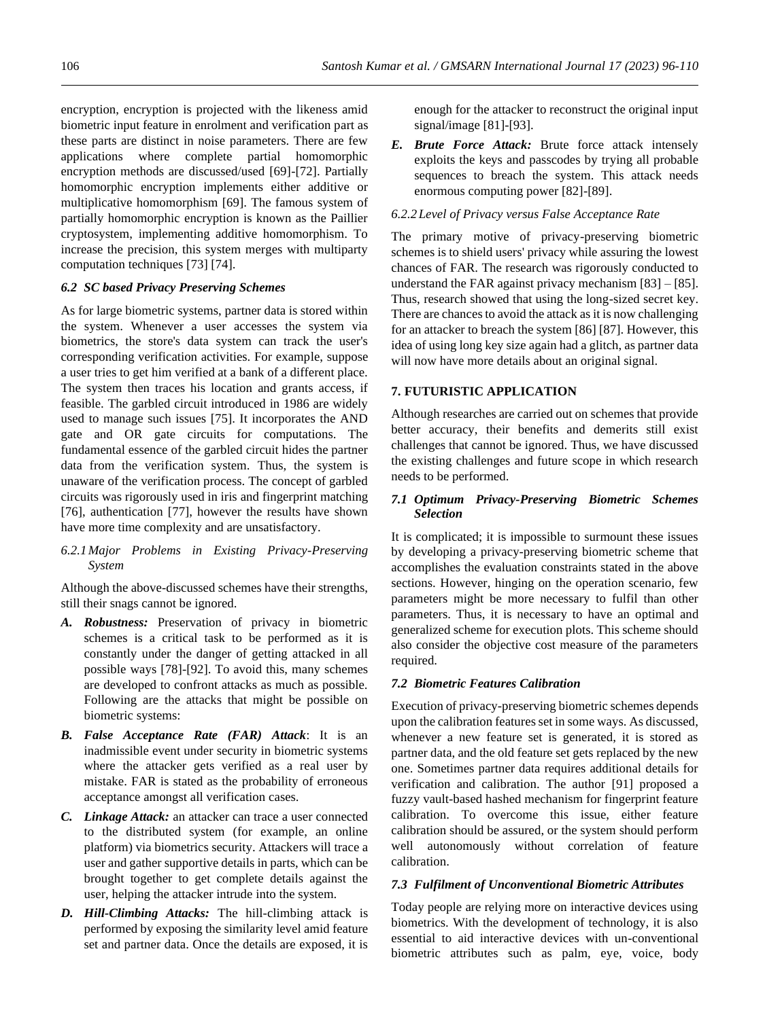encryption, encryption is projected with the likeness amid biometric input feature in enrolment and verification part as these parts are distinct in noise parameters. There are few applications where complete partial homomorphic encryption methods are discussed/used [69]-[72]. Partially homomorphic encryption implements either additive or multiplicative homomorphism [69]. The famous system of partially homomorphic encryption is known as the Paillier cryptosystem, implementing additive homomorphism. To increase the precision, this system merges with multiparty computation techniques [73] [74].

# *6.2 SC based Privacy Preserving Schemes*

As for large biometric systems, partner data is stored within the system. Whenever a user accesses the system via biometrics, the store's data system can track the user's corresponding verification activities. For example, suppose a user tries to get him verified at a bank of a different place. The system then traces his location and grants access, if feasible. The garbled circuit introduced in 1986 are widely used to manage such issues [75]. It incorporates the AND gate and OR gate circuits for computations. The fundamental essence of the garbled circuit hides the partner data from the verification system. Thus, the system is unaware of the verification process. The concept of garbled circuits was rigorously used in iris and fingerprint matching [76], authentication [77], however the results have shown have more time complexity and are unsatisfactory.

*6.2.1Major Problems in Existing Privacy-Preserving System*

Although the above-discussed schemes have their strengths, still their snags cannot be ignored.

- *A. Robustness:* Preservation of privacy in biometric schemes is a critical task to be performed as it is constantly under the danger of getting attacked in all possible ways [78]-[92]. To avoid this, many schemes are developed to confront attacks as much as possible. Following are the attacks that might be possible on biometric systems:
- *B. False Acceptance Rate (FAR) Attack*: It is an inadmissible event under security in biometric systems where the attacker gets verified as a real user by mistake. FAR is stated as the probability of erroneous acceptance amongst all verification cases.
- *C. Linkage Attack:* an attacker can trace a user connected to the distributed system (for example, an online platform) via biometrics security. Attackers will trace a user and gather supportive details in parts, which can be brought together to get complete details against the user, helping the attacker intrude into the system.
- *D. Hill-Climbing Attacks:* The hill-climbing attack is performed by exposing the similarity level amid feature set and partner data. Once the details are exposed, it is

enough for the attacker to reconstruct the original input signal/image [81]-[93].

*E. Brute Force Attack:* Brute force attack intensely exploits the keys and passcodes by trying all probable sequences to breach the system. This attack needs enormous computing power [82]-[89].

#### *6.2.2Level of Privacy versus False Acceptance Rate*

The primary motive of privacy-preserving biometric schemes is to shield users' privacy while assuring the lowest chances of FAR. The research was rigorously conducted to understand the FAR against privacy mechanism  $[83] - [85]$ . Thus, research showed that using the long-sized secret key. There are chances to avoid the attack as it is now challenging for an attacker to breach the system [86] [87]. However, this idea of using long key size again had a glitch, as partner data will now have more details about an original signal.

# **7. FUTURISTIC APPLICATION**

Although researches are carried out on schemes that provide better accuracy, their benefits and demerits still exist challenges that cannot be ignored. Thus, we have discussed the existing challenges and future scope in which research needs to be performed.

# *7.1 Optimum Privacy-Preserving Biometric Schemes Selection*

It is complicated; it is impossible to surmount these issues by developing a privacy-preserving biometric scheme that accomplishes the evaluation constraints stated in the above sections. However, hinging on the operation scenario, few parameters might be more necessary to fulfil than other parameters. Thus, it is necessary to have an optimal and generalized scheme for execution plots. This scheme should also consider the objective cost measure of the parameters required.

## *7.2 Biometric Features Calibration*

Execution of privacy-preserving biometric schemes depends upon the calibration features set in some ways. As discussed, whenever a new feature set is generated, it is stored as partner data, and the old feature set gets replaced by the new one. Sometimes partner data requires additional details for verification and calibration. The author [91] proposed a fuzzy vault-based hashed mechanism for fingerprint feature calibration. To overcome this issue, either feature calibration should be assured, or the system should perform well autonomously without correlation of feature calibration.

# *7.3 Fulfilment of Unconventional Biometric Attributes*

Today people are relying more on interactive devices using biometrics. With the development of technology, it is also essential to aid interactive devices with un-conventional biometric attributes such as palm, eye, voice, body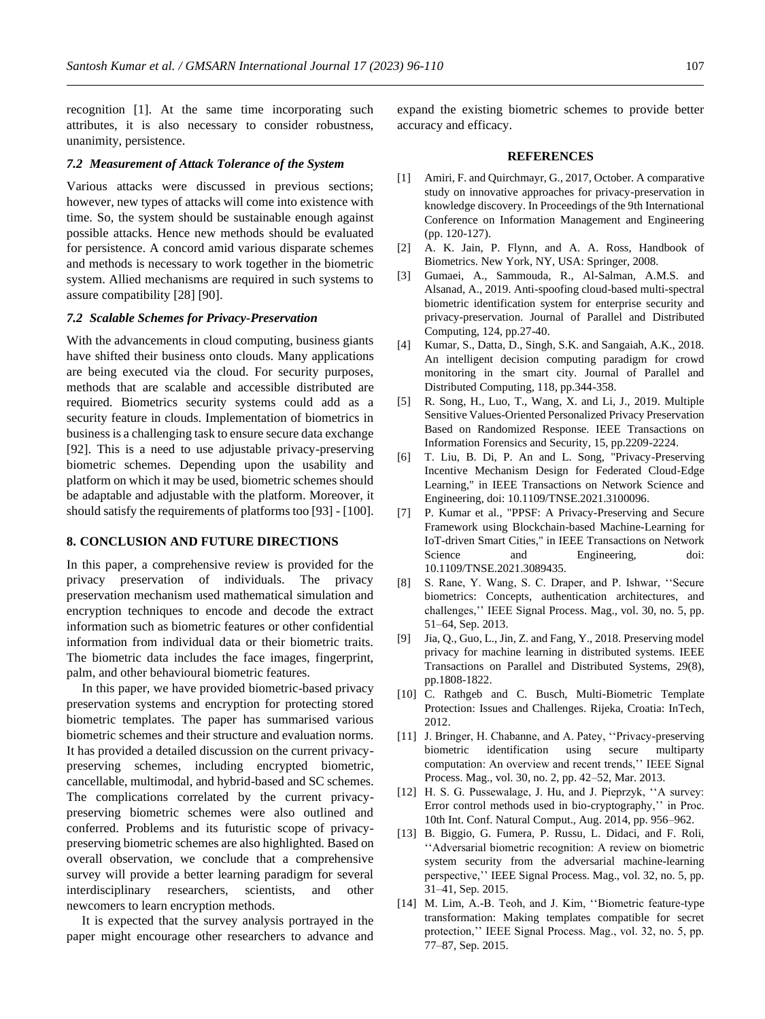recognition [1]. At the same time incorporating such attributes, it is also necessary to consider robustness, unanimity, persistence.

#### *7.2 Measurement of Attack Tolerance of the System*

Various attacks were discussed in previous sections; however, new types of attacks will come into existence with time. So, the system should be sustainable enough against possible attacks. Hence new methods should be evaluated for persistence. A concord amid various disparate schemes and methods is necessary to work together in the biometric system. Allied mechanisms are required in such systems to assure compatibility [28] [90].

#### *7.2 Scalable Schemes for Privacy-Preservation*

With the advancements in cloud computing, business giants have shifted their business onto clouds. Many applications are being executed via the cloud. For security purposes, methods that are scalable and accessible distributed are required. Biometrics security systems could add as a security feature in clouds. Implementation of biometrics in business is a challenging task to ensure secure data exchange [92]. This is a need to use adjustable privacy-preserving biometric schemes. Depending upon the usability and platform on which it may be used, biometric schemes should be adaptable and adjustable with the platform. Moreover, it should satisfy the requirements of platforms too [93] - [100].

# **8. CONCLUSION AND FUTURE DIRECTIONS**

In this paper, a comprehensive review is provided for the privacy preservation of individuals. The privacy preservation mechanism used mathematical simulation and encryption techniques to encode and decode the extract information such as biometric features or other confidential information from individual data or their biometric traits. The biometric data includes the face images, fingerprint, palm, and other behavioural biometric features.

In this paper, we have provided biometric-based privacy preservation systems and encryption for protecting stored biometric templates. The paper has summarised various biometric schemes and their structure and evaluation norms. It has provided a detailed discussion on the current privacypreserving schemes, including encrypted biometric, cancellable, multimodal, and hybrid-based and SC schemes. The complications correlated by the current privacypreserving biometric schemes were also outlined and conferred. Problems and its futuristic scope of privacypreserving biometric schemes are also highlighted. Based on overall observation, we conclude that a comprehensive survey will provide a better learning paradigm for several interdisciplinary researchers, scientists, and other newcomers to learn encryption methods.

It is expected that the survey analysis portrayed in the paper might encourage other researchers to advance and expand the existing biometric schemes to provide better accuracy and efficacy.

#### **REFERENCES**

- [1] Amiri, F. and Quirchmayr, G., 2017, October. A comparative study on innovative approaches for privacy-preservation in knowledge discovery. In Proceedings of the 9th International Conference on Information Management and Engineering (pp. 120-127).
- [2] A. K. Jain, P. Flynn, and A. A. Ross, Handbook of Biometrics. New York, NY, USA: Springer, 2008.
- [3] Gumaei, A., Sammouda, R., Al-Salman, A.M.S. and Alsanad, A., 2019. Anti-spoofing cloud-based multi-spectral biometric identification system for enterprise security and privacy-preservation. Journal of Parallel and Distributed Computing, 124, pp.27-40.
- [4] Kumar, S., Datta, D., Singh, S.K. and Sangaiah, A.K., 2018. An intelligent decision computing paradigm for crowd monitoring in the smart city. Journal of Parallel and Distributed Computing, 118, pp.344-358.
- [5] R. Song, H., Luo, T., Wang, X. and Li, J., 2019. Multiple Sensitive Values-Oriented Personalized Privacy Preservation Based on Randomized Response. IEEE Transactions on Information Forensics and Security, 15, pp.2209-2224.
- [6] T. Liu, B. Di, P. An and L. Song, "Privacy-Preserving Incentive Mechanism Design for Federated Cloud-Edge Learning," in IEEE Transactions on Network Science and Engineering, doi: 10.1109/TNSE.2021.3100096.
- [7] P. Kumar et al., "PPSF: A Privacy-Preserving and Secure Framework using Blockchain-based Machine-Learning for IoT-driven Smart Cities," in IEEE Transactions on Network Science and Engineering, doi: 10.1109/TNSE.2021.3089435.
- [8] S. Rane, Y. Wang, S. C. Draper, and P. Ishwar, ''Secure biometrics: Concepts, authentication architectures, and challenges,'' IEEE Signal Process. Mag., vol. 30, no. 5, pp. 51–64, Sep. 2013.
- [9] Jia, Q., Guo, L., Jin, Z. and Fang, Y., 2018. Preserving model privacy for machine learning in distributed systems. IEEE Transactions on Parallel and Distributed Systems, 29(8), pp.1808-1822.
- [10] C. Rathgeb and C. Busch, Multi-Biometric Template Protection: Issues and Challenges. Rijeka, Croatia: InTech, 2012.
- [11] J. Bringer, H. Chabanne, and A. Patey, ''Privacy-preserving biometric identification using secure multiparty computation: An overview and recent trends,'' IEEE Signal Process. Mag., vol. 30, no. 2, pp. 42–52, Mar. 2013.
- [12] H. S. G. Pussewalage, J. Hu, and J. Pieprzyk, "A survey: Error control methods used in bio-cryptography,'' in Proc. 10th Int. Conf. Natural Comput., Aug. 2014, pp. 956–962.
- [13] B. Biggio, G. Fumera, P. Russu, L. Didaci, and F. Roli, ''Adversarial biometric recognition: A review on biometric system security from the adversarial machine-learning perspective,'' IEEE Signal Process. Mag., vol. 32, no. 5, pp. 31–41, Sep. 2015.
- [14] M. Lim, A.-B. Teoh, and J. Kim, ''Biometric feature-type transformation: Making templates compatible for secret protection,'' IEEE Signal Process. Mag., vol. 32, no. 5, pp. 77–87, Sep. 2015.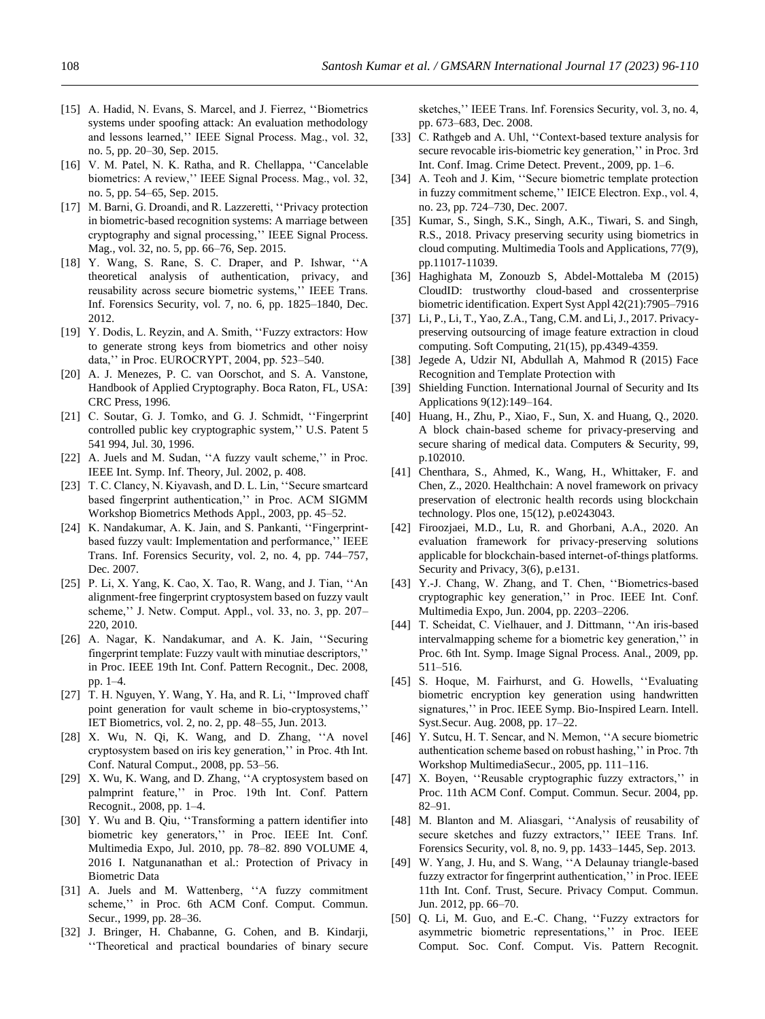- [15] A. Hadid, N. Evans, S. Marcel, and J. Fierrez, "Biometrics systems under spoofing attack: An evaluation methodology and lessons learned,'' IEEE Signal Process. Mag., vol. 32, no. 5, pp. 20–30, Sep. 2015.
- [16] V. M. Patel, N. K. Ratha, and R. Chellappa, "Cancelable biometrics: A review,'' IEEE Signal Process. Mag., vol. 32, no. 5, pp. 54–65, Sep. 2015.
- [17] M. Barni, G. Droandi, and R. Lazzeretti, "Privacy protection in biometric-based recognition systems: A marriage between cryptography and signal processing,'' IEEE Signal Process. Mag., vol. 32, no. 5, pp. 66–76, Sep. 2015.
- [18] Y. Wang, S. Rane, S. C. Draper, and P. Ishwar, ''A theoretical analysis of authentication, privacy, and reusability across secure biometric systems,'' IEEE Trans. Inf. Forensics Security, vol. 7, no. 6, pp. 1825–1840, Dec. 2012.
- [19] Y. Dodis, L. Reyzin, and A. Smith, "Fuzzy extractors: How to generate strong keys from biometrics and other noisy data,'' in Proc. EUROCRYPT, 2004, pp. 523–540.
- [20] A. J. Menezes, P. C. van Oorschot, and S. A. Vanstone, Handbook of Applied Cryptography. Boca Raton, FL, USA: CRC Press, 1996.
- [21] C. Soutar, G. J. Tomko, and G. J. Schmidt, "Fingerprint controlled public key cryptographic system,'' U.S. Patent 5 541 994, Jul. 30, 1996.
- [22] A. Juels and M. Sudan, "A fuzzy vault scheme," in Proc. IEEE Int. Symp. Inf. Theory, Jul. 2002, p. 408.
- [23] T. C. Clancy, N. Kiyavash, and D. L. Lin, "Secure smartcard based fingerprint authentication,'' in Proc. ACM SIGMM Workshop Biometrics Methods Appl., 2003, pp. 45–52.
- [24] K. Nandakumar, A. K. Jain, and S. Pankanti, ''Fingerprintbased fuzzy vault: Implementation and performance,'' IEEE Trans. Inf. Forensics Security, vol. 2, no. 4, pp. 744–757, Dec. 2007.
- [25] P. Li, X. Yang, K. Cao, X. Tao, R. Wang, and J. Tian, ''An alignment-free fingerprint cryptosystem based on fuzzy vault scheme,'' J. Netw. Comput. Appl., vol. 33, no. 3, pp. 207– 220, 2010.
- [26] A. Nagar, K. Nandakumar, and A. K. Jain, "Securing fingerprint template: Fuzzy vault with minutiae descriptors,'' in Proc. IEEE 19th Int. Conf. Pattern Recognit., Dec. 2008, pp. 1–4.
- [27] T. H. Nguyen, Y. Wang, Y. Ha, and R. Li, "Improved chaff point generation for vault scheme in bio-cryptosystems,'' IET Biometrics, vol. 2, no. 2, pp. 48–55, Jun. 2013.
- [28] X. Wu, N. Qi, K. Wang, and D. Zhang, ''A novel cryptosystem based on iris key generation,'' in Proc. 4th Int. Conf. Natural Comput., 2008, pp. 53–56.
- [29] X. Wu, K. Wang, and D. Zhang, ''A cryptosystem based on palmprint feature,'' in Proc. 19th Int. Conf. Pattern Recognit., 2008, pp. 1–4.
- [30] Y. Wu and B. Qiu, ''Transforming a pattern identifier into biometric key generators,'' in Proc. IEEE Int. Conf. Multimedia Expo, Jul. 2010, pp. 78–82. 890 VOLUME 4, 2016 I. Natgunanathan et al.: Protection of Privacy in Biometric Data
- [31] A. Juels and M. Wattenberg, "A fuzzy commitment scheme,'' in Proc. 6th ACM Conf. Comput. Commun. Secur., 1999, pp. 28–36.
- [32] J. Bringer, H. Chabanne, G. Cohen, and B. Kindarji, ''Theoretical and practical boundaries of binary secure

sketches,'' IEEE Trans. Inf. Forensics Security, vol. 3, no. 4, pp. 673–683, Dec. 2008.

- [33] C. Rathgeb and A. Uhl, ''Context-based texture analysis for secure revocable iris-biometric key generation,'' in Proc. 3rd Int. Conf. Imag. Crime Detect. Prevent., 2009, pp. 1–6.
- [34] A. Teoh and J. Kim, "Secure biometric template protection in fuzzy commitment scheme,'' IEICE Electron. Exp., vol. 4, no. 23, pp. 724–730, Dec. 2007.
- [35] Kumar, S., Singh, S.K., Singh, A.K., Tiwari, S. and Singh, R.S., 2018. Privacy preserving security using biometrics in cloud computing. Multimedia Tools and Applications, 77(9), pp.11017-11039.
- [36] Haghighata M, Zonouzb S, Abdel-Mottaleba M (2015) CloudID: trustworthy cloud-based and crossenterprise biometric identification. Expert Syst Appl 42(21):7905–7916
- [37] Li, P., Li, T., Yao, Z.A., Tang, C.M. and Li, J., 2017. Privacypreserving outsourcing of image feature extraction in cloud computing. Soft Computing, 21(15), pp.4349-4359.
- [38] Jegede A, Udzir NI, Abdullah A, Mahmod R (2015) Face Recognition and Template Protection with
- [39] Shielding Function. International Journal of Security and Its Applications 9(12):149–164.
- [40] Huang, H., Zhu, P., Xiao, F., Sun, X. and Huang, Q., 2020. A block chain-based scheme for privacy-preserving and secure sharing of medical data. Computers & Security, 99, p.102010.
- [41] Chenthara, S., Ahmed, K., Wang, H., Whittaker, F. and Chen, Z., 2020. Healthchain: A novel framework on privacy preservation of electronic health records using blockchain technology. Plos one, 15(12), p.e0243043.
- [42] Firoozjaei, M.D., Lu, R. and Ghorbani, A.A., 2020. An evaluation framework for privacy‐preserving solutions applicable for blockchain‐based internet‐of‐things platforms. Security and Privacy, 3(6), p.e131.
- [43] Y.-J. Chang, W. Zhang, and T. Chen, "Biometrics-based cryptographic key generation,'' in Proc. IEEE Int. Conf. Multimedia Expo, Jun. 2004, pp. 2203–2206.
- [44] T. Scheidat, C. Vielhauer, and J. Dittmann, ''An iris-based intervalmapping scheme for a biometric key generation,'' in Proc. 6th Int. Symp. Image Signal Process. Anal., 2009, pp. 511–516.
- [45] S. Hoque, M. Fairhurst, and G. Howells, "Evaluating biometric encryption key generation using handwritten signatures,'' in Proc. IEEE Symp. Bio-Inspired Learn. Intell. Syst.Secur. Aug. 2008, pp. 17–22.
- [46] Y. Sutcu, H. T. Sencar, and N. Memon, "A secure biometric authentication scheme based on robust hashing,'' in Proc. 7th Workshop MultimediaSecur., 2005, pp. 111–116.
- [47] X. Boyen, ''Reusable cryptographic fuzzy extractors,'' in Proc. 11th ACM Conf. Comput. Commun. Secur. 2004, pp. 82–91.
- [48] M. Blanton and M. Aliasgari, ''Analysis of reusability of secure sketches and fuzzy extractors,'' IEEE Trans. Inf. Forensics Security, vol. 8, no. 9, pp. 1433–1445, Sep. 2013.
- [49] W. Yang, J. Hu, and S. Wang, ''A Delaunay triangle-based fuzzy extractor for fingerprint authentication,'' in Proc. IEEE 11th Int. Conf. Trust, Secure. Privacy Comput. Commun. Jun. 2012, pp. 66–70.
- [50] Q. Li, M. Guo, and E.-C. Chang, ''Fuzzy extractors for asymmetric biometric representations,'' in Proc. IEEE Comput. Soc. Conf. Comput. Vis. Pattern Recognit.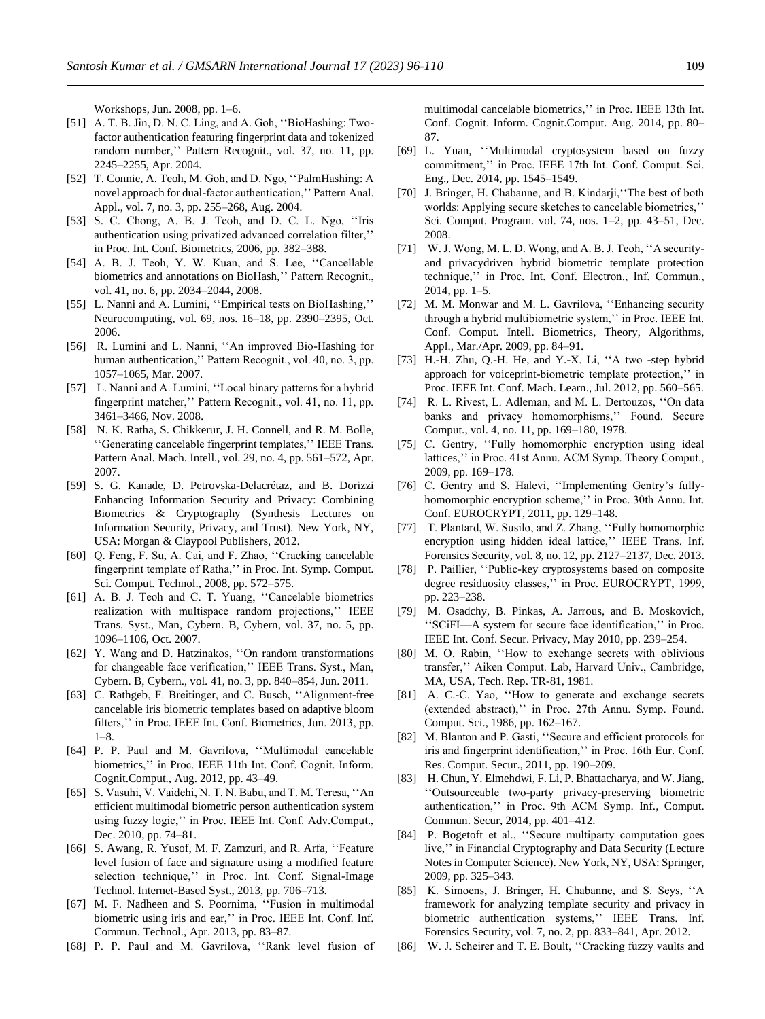Workshops, Jun. 2008, pp. 1–6.

- [51] A. T. B. Jin, D. N. C. Ling, and A. Goh, ''BioHashing: Twofactor authentication featuring fingerprint data and tokenized random number,'' Pattern Recognit., vol. 37, no. 11, pp. 2245–2255, Apr. 2004.
- [52] T. Connie, A. Teoh, M. Goh, and D. Ngo, ''PalmHashing: A novel approach for dual-factor authentication,'' Pattern Anal. Appl., vol. 7, no. 3, pp. 255–268, Aug. 2004.
- [53] S. C. Chong, A. B. J. Teoh, and D. C. L. Ngo, ''Iris authentication using privatized advanced correlation filter,'' in Proc. Int. Conf. Biometrics, 2006, pp. 382–388.
- [54] A. B. J. Teoh, Y. W. Kuan, and S. Lee, ''Cancellable biometrics and annotations on BioHash,'' Pattern Recognit., vol. 41, no. 6, pp. 2034–2044, 2008.
- [55] L. Nanni and A. Lumini, ''Empirical tests on BioHashing,'' Neurocomputing, vol. 69, nos. 16–18, pp. 2390–2395, Oct. 2006.
- [56] R. Lumini and L. Nanni, "An improved Bio-Hashing for human authentication,'' Pattern Recognit., vol. 40, no. 3, pp. 1057–1065, Mar. 2007.
- [57] L. Nanni and A. Lumini, "Local binary patterns for a hybrid fingerprint matcher,'' Pattern Recognit., vol. 41, no. 11, pp. 3461–3466, Nov. 2008.
- [58] N. K. Ratha, S. Chikkerur, J. H. Connell, and R. M. Bolle, ''Generating cancelable fingerprint templates,'' IEEE Trans. Pattern Anal. Mach. Intell., vol. 29, no. 4, pp. 561–572, Apr. 2007.
- [59] S. G. Kanade, D. Petrovska-Delacrétaz, and B. Dorizzi Enhancing Information Security and Privacy: Combining Biometrics & Cryptography (Synthesis Lectures on Information Security, Privacy, and Trust). New York, NY, USA: Morgan & Claypool Publishers, 2012.
- [60] Q. Feng, F. Su, A. Cai, and F. Zhao, ''Cracking cancelable fingerprint template of Ratha,'' in Proc. Int. Symp. Comput. Sci. Comput. Technol., 2008, pp. 572–575.
- [61] A. B. J. Teoh and C. T. Yuang, "Cancelable biometrics realization with multispace random projections,'' IEEE Trans. Syst., Man, Cybern. B, Cybern, vol. 37, no. 5, pp. 1096–1106, Oct. 2007.
- [62] Y. Wang and D. Hatzinakos, ''On random transformations for changeable face verification,'' IEEE Trans. Syst., Man, Cybern. B, Cybern., vol. 41, no. 3, pp. 840–854, Jun. 2011.
- [63] C. Rathgeb, F. Breitinger, and C. Busch, "Alignment-free cancelable iris biometric templates based on adaptive bloom filters," in Proc. IEEE Int. Conf. Biometrics, Jun. 2013, pp. 1–8.
- [64] P. P. Paul and M. Gavrilova, ''Multimodal cancelable biometrics,'' in Proc. IEEE 11th Int. Conf. Cognit. Inform. Cognit.Comput., Aug. 2012, pp. 43–49.
- [65] S. Vasuhi, V. Vaidehi, N. T. N. Babu, and T. M. Teresa, ''An efficient multimodal biometric person authentication system using fuzzy logic,'' in Proc. IEEE Int. Conf. Adv.Comput., Dec. 2010, pp. 74–81.
- [66] S. Awang, R. Yusof, M. F. Zamzuri, and R. Arfa, ''Feature level fusion of face and signature using a modified feature selection technique,'' in Proc. Int. Conf. Signal-Image Technol. Internet-Based Syst., 2013, pp. 706–713.
- [67] M. F. Nadheen and S. Poornima, ''Fusion in multimodal biometric using iris and ear,'' in Proc. IEEE Int. Conf. Inf. Commun. Technol., Apr. 2013, pp. 83–87.
- [68] P. P. Paul and M. Gavrilova, ''Rank level fusion of

multimodal cancelable biometrics,'' in Proc. IEEE 13th Int. Conf. Cognit. Inform. Cognit.Comput. Aug. 2014, pp. 80– 87.

- [69] L. Yuan, ''Multimodal cryptosystem based on fuzzy commitment,'' in Proc. IEEE 17th Int. Conf. Comput. Sci. Eng., Dec. 2014, pp. 1545–1549.
- [70] J. Bringer, H. Chabanne, and B. Kindarji,''The best of both worlds: Applying secure sketches to cancelable biometrics,'' Sci. Comput. Program. vol. 74, nos. 1–2, pp. 43–51, Dec. 2008.
- [71] W. J. Wong, M. L. D. Wong, and A. B. J. Teoh, "A securityand privacydriven hybrid biometric template protection technique,'' in Proc. Int. Conf. Electron., Inf. Commun., 2014, pp. 1–5.
- [72] M. M. Monwar and M. L. Gavrilova, ''Enhancing security through a hybrid multibiometric system,'' in Proc. IEEE Int. Conf. Comput. Intell. Biometrics, Theory, Algorithms, Appl., Mar./Apr. 2009, pp. 84–91.
- [73] H.-H. Zhu, Q.-H. He, and Y.-X. Li, "A two -step hybrid approach for voiceprint-biometric template protection,'' in Proc. IEEE Int. Conf. Mach. Learn., Jul. 2012, pp. 560–565.
- [74] R. L. Rivest, L. Adleman, and M. L. Dertouzos, ''On data banks and privacy homomorphisms,'' Found. Secure Comput., vol. 4, no. 11, pp. 169–180, 1978.
- [75] C. Gentry, "Fully homomorphic encryption using ideal lattices,'' in Proc. 41st Annu. ACM Symp. Theory Comput., 2009, pp. 169–178.
- [76] C. Gentry and S. Halevi, "Implementing Gentry's fullyhomomorphic encryption scheme,'' in Proc. 30th Annu. Int. Conf. EUROCRYPT, 2011, pp. 129–148.
- [77] T. Plantard, W. Susilo, and Z. Zhang, ''Fully homomorphic encryption using hidden ideal lattice,'' IEEE Trans. Inf. Forensics Security, vol. 8, no. 12, pp. 2127–2137, Dec. 2013.
- [78] P. Paillier, ''Public-key cryptosystems based on composite degree residuosity classes,'' in Proc. EUROCRYPT, 1999, pp. 223–238.
- [79] M. Osadchy, B. Pinkas, A. Jarrous, and B. Moskovich, ''SCiFI—A system for secure face identification,'' in Proc. IEEE Int. Conf. Secur. Privacy, May 2010, pp. 239–254.
- [80] M. O. Rabin, ''How to exchange secrets with oblivious transfer,'' Aiken Comput. Lab, Harvard Univ., Cambridge, MA, USA, Tech. Rep. TR-81, 1981.
- [81] A. C.-C. Yao, ''How to generate and exchange secrets (extended abstract),'' in Proc. 27th Annu. Symp. Found. Comput. Sci., 1986, pp. 162–167.
- [82] M. Blanton and P. Gasti, "Secure and efficient protocols for iris and fingerprint identification,'' in Proc. 16th Eur. Conf. Res. Comput. Secur., 2011, pp. 190–209.
- [83] H. Chun, Y. Elmehdwi, F. Li, P. Bhattacharya, and W. Jiang, ''Outsourceable two-party privacy-preserving biometric authentication,'' in Proc. 9th ACM Symp. Inf., Comput. Commun. Secur, 2014, pp. 401–412.
- [84] P. Bogetoft et al., ''Secure multiparty computation goes live,'' in Financial Cryptography and Data Security (Lecture Notes in Computer Science). New York, NY, USA: Springer, 2009, pp. 325–343.
- [85] K. Simoens, J. Bringer, H. Chabanne, and S. Seys, ''A framework for analyzing template security and privacy in biometric authentication systems,'' IEEE Trans. Inf. Forensics Security, vol. 7, no. 2, pp. 833–841, Apr. 2012.
- [86] W. J. Scheirer and T. E. Boult, "Cracking fuzzy vaults and